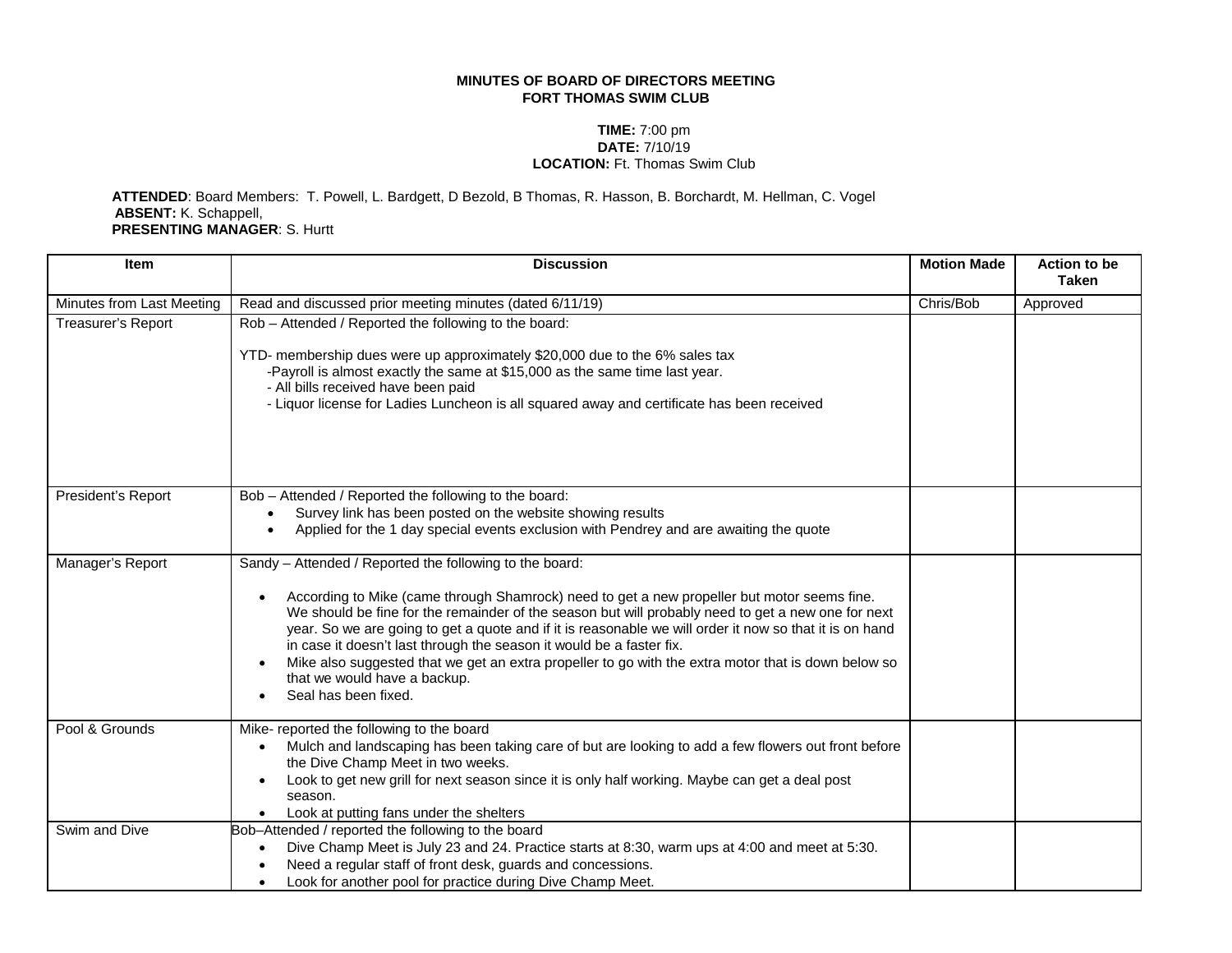## **MINUTES OF BOARD OF DIRECTORS MEETING FORT THOMAS SWIM CLUB**

## **TIME:** 7:00 pm **DATE:** 7/10/19 **LOCATION:** Ft. Thomas Swim Club

 **ATTENDED**: Board Members: T. Powell, L. Bardgett, D Bezold, B Thomas, R. Hasson, B. Borchardt, M. Hellman, C. Vogel **ABSENT:** K. Schappell, **PRESENTING MANAGER**: S. Hurtt

| <b>Item</b>               | <b>Discussion</b>                                                                                                                                                                                                                                                                                                                                                                                                                                                                                                                                                                                              | <b>Motion Made</b> | <b>Action to be</b><br><b>Taken</b> |
|---------------------------|----------------------------------------------------------------------------------------------------------------------------------------------------------------------------------------------------------------------------------------------------------------------------------------------------------------------------------------------------------------------------------------------------------------------------------------------------------------------------------------------------------------------------------------------------------------------------------------------------------------|--------------------|-------------------------------------|
| Minutes from Last Meeting | Read and discussed prior meeting minutes (dated 6/11/19)                                                                                                                                                                                                                                                                                                                                                                                                                                                                                                                                                       | Chris/Bob          | Approved                            |
| Treasurer's Report        | Rob - Attended / Reported the following to the board:<br>YTD- membership dues were up approximately \$20,000 due to the 6% sales tax<br>-Payroll is almost exactly the same at \$15,000 as the same time last year.<br>- All bills received have been paid<br>- Liquor license for Ladies Luncheon is all squared away and certificate has been received                                                                                                                                                                                                                                                       |                    |                                     |
| President's Report        | Bob - Attended / Reported the following to the board:<br>Survey link has been posted on the website showing results<br>$\bullet$<br>Applied for the 1 day special events exclusion with Pendrey and are awaiting the quote<br>$\bullet$                                                                                                                                                                                                                                                                                                                                                                        |                    |                                     |
| Manager's Report          | Sandy - Attended / Reported the following to the board:<br>According to Mike (came through Shamrock) need to get a new propeller but motor seems fine.<br>We should be fine for the remainder of the season but will probably need to get a new one for next<br>year. So we are going to get a quote and if it is reasonable we will order it now so that it is on hand<br>in case it doesn't last through the season it would be a faster fix.<br>Mike also suggested that we get an extra propeller to go with the extra motor that is down below so<br>that we would have a backup.<br>Seal has been fixed. |                    |                                     |
| Pool & Grounds            | Mike- reported the following to the board<br>Mulch and landscaping has been taking care of but are looking to add a few flowers out front before<br>the Dive Champ Meet in two weeks.<br>Look to get new grill for next season since it is only half working. Maybe can get a deal post<br>season.<br>Look at putting fans under the shelters                                                                                                                                                                                                                                                                  |                    |                                     |
| Swim and Dive             | Bob-Attended / reported the following to the board<br>Dive Champ Meet is July 23 and 24. Practice starts at 8:30, warm ups at 4:00 and meet at 5:30.<br>Need a regular staff of front desk, guards and concessions.<br>Look for another pool for practice during Dive Champ Meet.                                                                                                                                                                                                                                                                                                                              |                    |                                     |